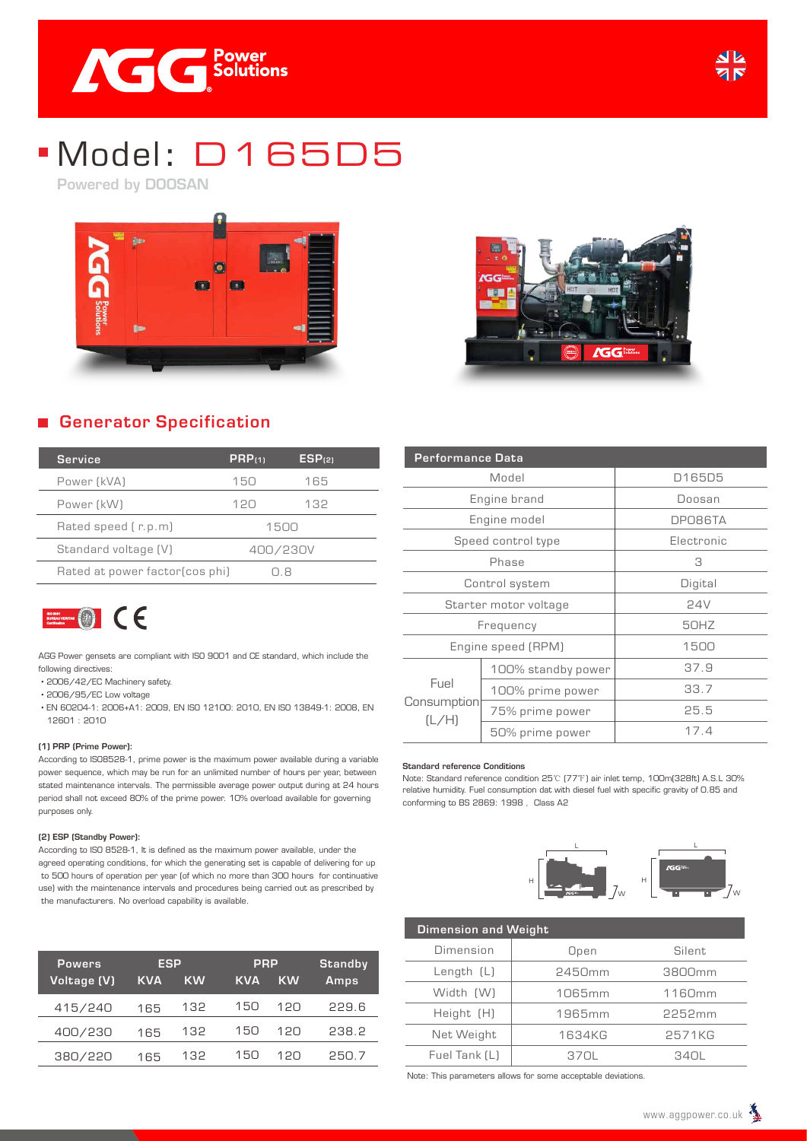

# Model: D165D5

Powered by DOOSAN





### ■ Generator Specification

| <b>Service</b>                  | PRP <sub>[1]</sub> | ESP <sub>(2)</sub> |
|---------------------------------|--------------------|--------------------|
| Power (kVA)                     | 150                | 165                |
| Power (kW)                      | 120                | 132                |
| Rated speed (r.p.m)             | 1500               |                    |
| Standard voltage (V)            | 400/230V           |                    |
| Rated at power factor (cos phi) | U.R.               |                    |



AGG Power gensets are compliant with ISO 9001 and CE standard, which include the following directives:

- ·2006/42/EC Machinery safety.
- ·2006/95/EC Low voltage
- ·EN 60204-1: 2006+A1: 2009, EN ISO 12100: 2010, EN ISO 13849-1: 2008, EN 12601 : 2010

#### (1) PRP (Prime Power):

According to ISO8528-1, prime power is the maximum power available during a variable power sequence, which may be run for an unlimited number of hours per year, between stated maintenance intervals. The permissible average power output during at 24 hours period shall not exceed 80% of the prime power. 10% overload available for governing purposes only.

#### (2) ESP (Standby Power):

According to ISO 8528-1, It is defined as the maximum power available, under the agreed operating conditions, for which the generating set is capable of delivering for up to 500 hours of operation per year (of which no more than 300 hours for continuative use) with the maintenance intervals and procedures being carried out as prescribed by the manufacturers. No overload capability is available.

|            |           |            |     | <b>Standby</b> |
|------------|-----------|------------|-----|----------------|
| <b>KVA</b> | <b>KW</b> | <b>KVA</b> | КW  | Amps           |
| 165        | 132       | 150        | 120 | 229.6          |
| 165        | 132       | 150        | 120 | 238.2          |
| 165        | 132       | 150        | 12N | 250.7          |
|            |           | <b>ESP</b> |     | <b>PRP</b>     |

| <b>Performance Data</b>      |                    |            |
|------------------------------|--------------------|------------|
| Model                        |                    | D165D5     |
| Engine brand                 |                    | Doosan     |
|                              | Engine model       | DPO86TA    |
|                              | Speed control type | Electronic |
|                              | Phase              | 3          |
| Control system               |                    | Digital    |
| Starter motor voltage        |                    | 24V        |
| Frequency                    |                    | 50HZ       |
| Engine speed (RPM)           |                    | 1500       |
|                              | 100% standby power | 37.9       |
| Fuel<br>Consumption<br>(L/H) | 100% prime power   | 33.7       |
|                              | 75% prime power    | 25.5       |
|                              | 50% prime power    | 17.4       |

#### Standard reference Conditions

Note: Standard reference condition 25℃ (77℉) air inlet temp, 100m(328ft) A.S.L 30% relative humidity. Fuel consumption dat with diesel fuel with specific gravity of 0.85 and conforming to BS 2869: 1998, Class A2



| <b>Dimension and Weight</b> |        |        |  |
|-----------------------------|--------|--------|--|
| Dimension                   | Open   | Silent |  |
| Length (L)                  | 2450mm | 3800mm |  |
| Width (W)                   | 1065mm | 1160mm |  |
| Height (H)                  | 1965mm | 2252mm |  |
| Net Weight                  | 1634KG | 2571KG |  |
| Fuel Tank (L)               | 370L   | 340L   |  |

Note: This parameters allows for some acceptable deviations.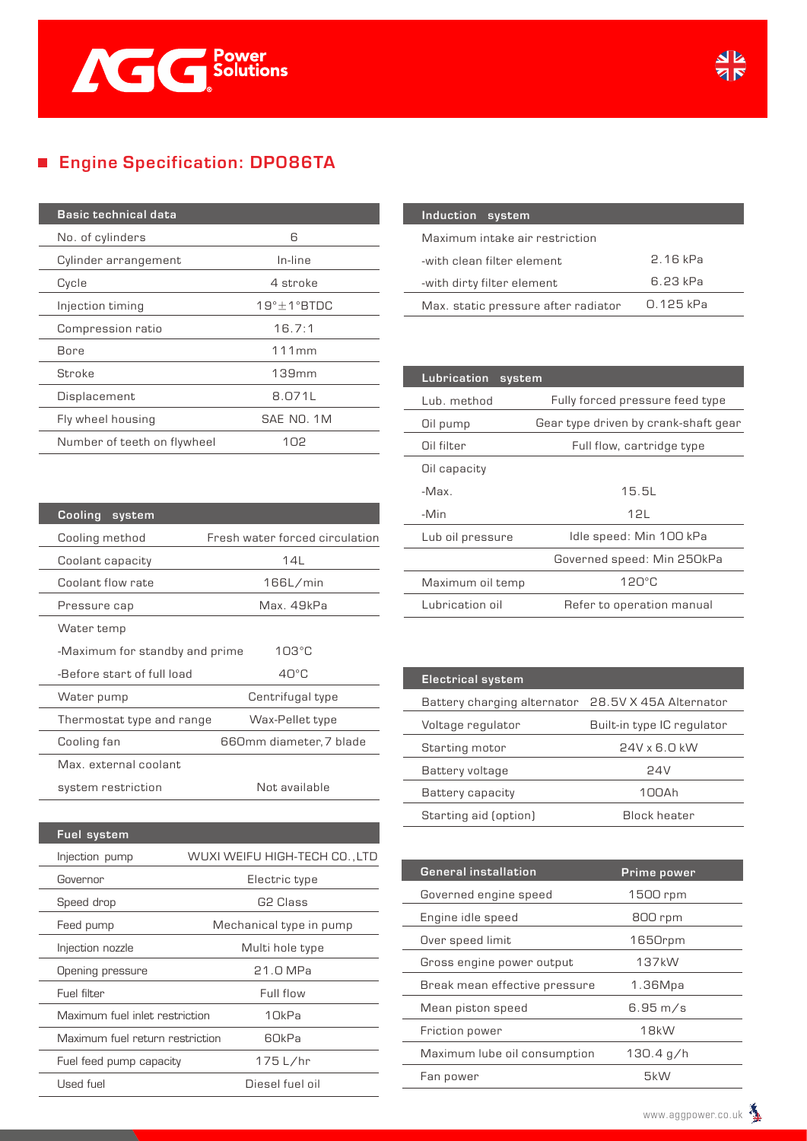

#### Engine Specification: DP086TA  $\mathbb{R}^3$

| <b>Basic technical data</b> |                             |
|-----------------------------|-----------------------------|
| No. of cylinders            | 6                           |
| Cylinder arrangement        | In-line                     |
| Cycle                       | 4 stroke                    |
| Injection timing            | $19^\circ \pm 1^\circ$ BTDC |
| Compression ratio           | 16.7:1                      |
| Bore                        | 111mm                       |
| Stroke                      | 139mm                       |
| Displacement                | 8.071L                      |
| Fly wheel housing           | SAE NO. 1M                  |
| Number of teeth on flywheel | 9 רח                        |

| <b>Cooling</b><br>system       |                                |
|--------------------------------|--------------------------------|
| Cooling method                 | Fresh water forced circulation |
| Coolant capacity               | 141                            |
| Coolant flow rate              | 166L/min                       |
| Pressure cap                   | Max 49kPa                      |
| Water temp                     |                                |
| -Maximum for standby and prime | $103^\circ C$                  |
| -Before start of full load     | $40^{\circ}$ C                 |
| Water pump                     | Centrifugal type               |
| Thermostat type and range      | Wax-Pellet type                |
| Cooling fan                    | 660mm diameter, 7 blade        |
| Max, external coolant          |                                |
| system restriction             | Not available                  |

Fuel system Injection pump

| Induction system                    |           |
|-------------------------------------|-----------|
| Maximum intake air restriction      |           |
| -with clean filter element.         | 2.16 kPa  |
| -with dirty filter element          | 6.23 kPa  |
| Max. static pressure after radiator | 0.125 kPa |

| <b>Lubrication</b> system |                                      |
|---------------------------|--------------------------------------|
| Lub. method               | Fully forced pressure feed type      |
| Oil pump                  | Gear type driven by crank-shaft gear |
| Oil filter                | Full flow, cartridge type            |
| Oil capacity              |                                      |
| -Max.                     | 15.5L                                |
| -Min                      | 121                                  |
| Lub oil pressure          | Idle speed: Min 100 kPa              |
|                           | Governed speed: Min 250kPa           |
| Maximum oil temp          | 120°C                                |
| Lubrication oil           | Refer to operation manual            |

| <b>Electrical system</b>                           |                            |
|----------------------------------------------------|----------------------------|
| Battery charging alternator 28.5V X 45A Alternator |                            |
| Voltage regulator                                  | Built-in type IC regulator |
| Starting motor                                     | $24V \times 6.0$ kW        |
| Battery voltage                                    | <b>24V</b>                 |
| Battery capacity                                   | 100Ah                      |
| Starting aid (option)                              | Block heater               |

| Injection pump                  | WUXI WEIFU HIGH-TECH CO. , LTD |                             |
|---------------------------------|--------------------------------|-----------------------------|
| Governor                        | Electric type                  | <b>General installation</b> |
| Speed drop                      | G2 Class                       | Governed engine sp          |
| Feed pump                       | Mechanical type in pump        | Engine idle speed           |
| Injection nozzle                | Multi hole type                | Over speed limit            |
| Opening pressure                | 21.0 MPa                       | Gross engine power          |
|                                 |                                | Break mean effectiv         |
| Fuel filter                     | Full flow                      |                             |
| Maximum fuel inlet restriction  | 10kPa                          | Mean piston speed           |
| Maximum fuel return restriction | 60kPa                          | Friction power              |
| Fuel feed pump capacity         | 175 L/hr                       | Maximum lube oil co         |
|                                 |                                | Fan power                   |
| Used fuel                       | Diesel fuel oil                |                             |
|                                 |                                |                             |

| <b>General installation</b>   | Prime power           |
|-------------------------------|-----------------------|
| Governed engine speed         | 1500 rpm              |
| Engine idle speed             | 800 rpm               |
| Over speed limit              | 1650rpm               |
| Gross engine power output     | 137kW                 |
| Break mean effective pressure | 1.36Mpa               |
| Mean piston speed             | $6.95 \,\mathrm{m/s}$ |
| Friction power                | 18kW                  |
| Maximum lube oil consumption  | 130.4 g/h             |
| Fan power                     | 5kW                   |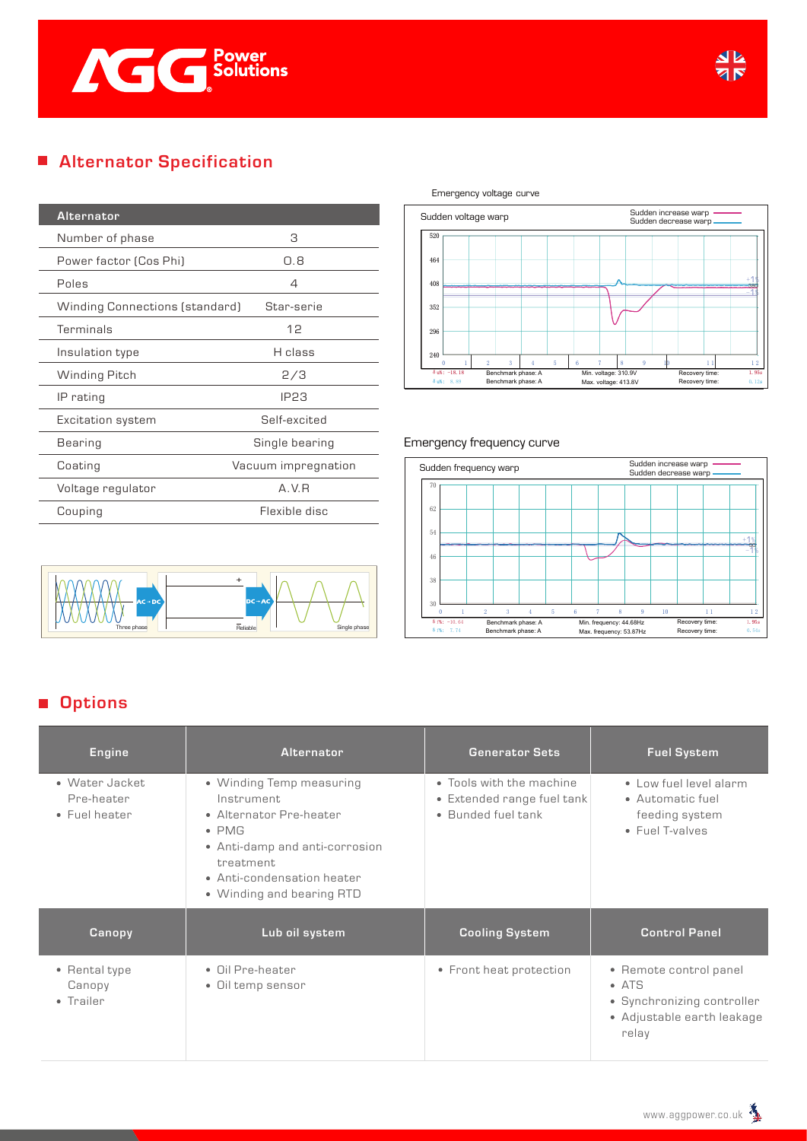

#### Alternator Specification  $\mathcal{L}_{\mathcal{A}}$

| <b>Alternator</b>              |                     |
|--------------------------------|---------------------|
| Number of phase                | З                   |
| Power factor (Cos Phi)         | O.B                 |
| Poles                          | 4                   |
| Winding Connections (standard) | Star-serie          |
| Terminals                      | 12                  |
| Insulation type                | H class             |
| Winding Pitch                  | 2/3                 |
| IP rating                      | IP23                |
| <b>Excitation system</b>       | Self-excited        |
| Bearing                        | Single bearing      |
| Coating                        | Vacuum impregnation |
| Voltage regulator              | A.V.B               |
| Couping                        | Flexible disc       |
|                                |                     |





#### Emergency frequency curve



#### **Options**  $\mathbb{R}^n$

| <b>Engine</b>                                 | <b>Alternator</b>                                                                                                                                                                            | <b>Generator Sets</b>                                                        | <b>Fuel System</b>                                                                                           |
|-----------------------------------------------|----------------------------------------------------------------------------------------------------------------------------------------------------------------------------------------------|------------------------------------------------------------------------------|--------------------------------------------------------------------------------------------------------------|
| • Water Jacket<br>Pre-heater<br>• Fuel heater | • Winding Temp measuring<br>Instrument<br>• Alternator Pre-heater<br>$\bullet$ PMG<br>• Anti-damp and anti-corrosion<br>treatment<br>• Anti-condensation heater<br>• Winding and bearing RTD | • Tools with the machine<br>• Extended range fuel tank<br>• Bunded fuel tank | • Low fuel level alarm<br>• Automatic fuel<br>feeding system<br>• Fuel T-valves                              |
| Canopy                                        | Lub oil system                                                                                                                                                                               | <b>Cooling System</b>                                                        | <b>Control Panel</b>                                                                                         |
| • Rental type<br>Canopy<br>• Trailer          | • Oil Pre-heater<br>• Oil temp sensor                                                                                                                                                        | • Front heat protection                                                      | • Remote control panel<br>$\bullet$ ATS<br>• Synchronizing controller<br>• Adjustable earth leakage<br>relay |